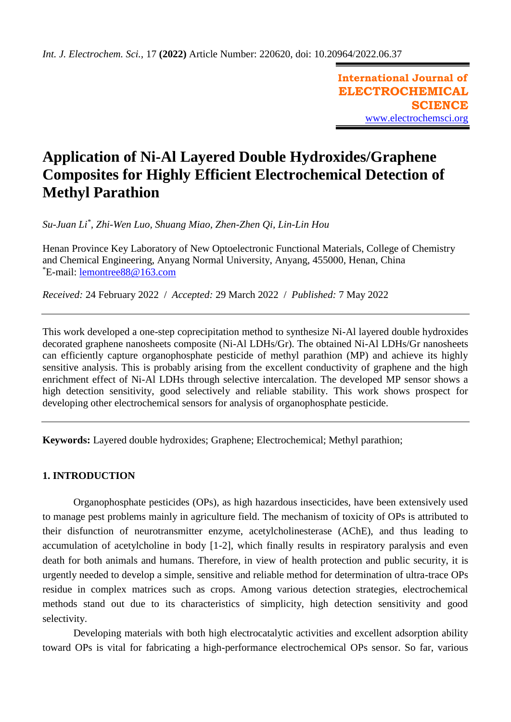**International Journal of ELECTROCHEMICAL SCIENCE** [www.electrochemsci.org](http://www.electrochemsci.org/)

# **Application of Ni-Al Layered Double Hydroxides/Graphene Composites for Highly Efficient Electrochemical Detection of Methyl Parathion**

*Su-Juan Li\* , Zhi-Wen Luo, Shuang Miao, Zhen-Zhen Qi, Lin-Lin Hou*

Henan Province Key Laboratory of New Optoelectronic Functional Materials, College of Chemistry and Chemical Engineering, Anyang Normal University, Anyang, 455000, Henan, China \*E-mail: [lemontree88@163.com](mailto:lemontree88@163.com)

*Received:* 24 February 2022/ *Accepted:* 29 March 2022 / *Published:* 7 May 2022

This work developed a one-step coprecipitation method to synthesize Ni-Al layered double hydroxides decorated graphene nanosheets composite (Ni-Al LDHs/Gr). The obtained Ni-Al LDHs/Gr nanosheets can efficiently capture organophosphate pesticide of methyl parathion (MP) and achieve its highly sensitive analysis. This is probably arising from the excellent conductivity of graphene and the high enrichment effect of Ni-Al LDHs through selective intercalation. The developed MP sensor shows a high detection sensitivity, good selectively and reliable stability. This work shows prospect for developing other electrochemical sensors for analysis of organophosphate pesticide.

**Keywords:** Layered double hydroxides; Graphene; Electrochemical; Methyl parathion;

# **1. INTRODUCTION**

Organophosphate pesticides (OPs), as high hazardous insecticides, have been extensively used to manage pest problems mainly in agriculture field. The mechanism of toxicity of OPs is attributed to their disfunction of neurotransmitter enzyme, acetylcholinesterase (AChE), and thus leading to accumulation of acetylcholine in body [1-2], which finally results in respiratory paralysis and even death for both animals and humans. Therefore, in view of health protection and public security, it is urgently needed to develop a simple, sensitive and reliable method for determination of ultra-trace OPs residue in complex matrices such as crops. Among various detection strategies, electrochemical methods stand out due to its characteristics of simplicity, high detection sensitivity and good selectivity.

Developing materials with both high electrocatalytic activities and excellent adsorption ability toward OPs is vital for fabricating a high-performance electrochemical OPs sensor. So far, various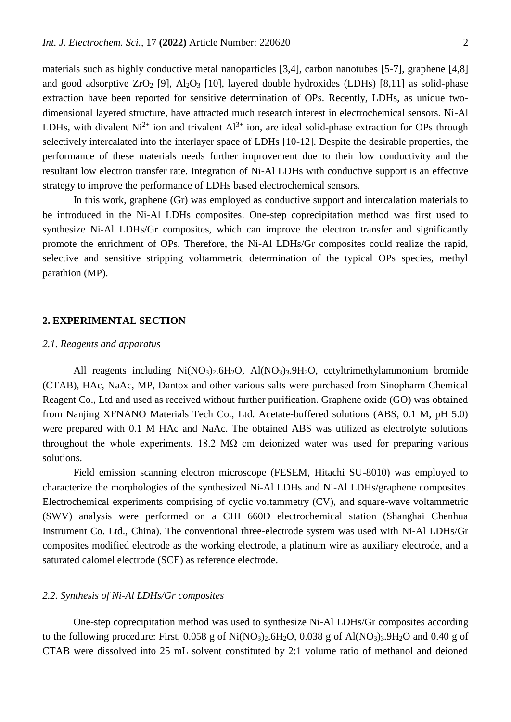materials such as highly conductive metal nanoparticles [3,4], carbon nanotubes [5-7], graphene [4,8] and good adsorptive  $ZrO_2$  [9],  $Al_2O_3$  [10], layered double hydroxides (LDHs) [8,11] as solid-phase extraction have been reported for sensitive determination of OPs. Recently, LDHs, as unique twodimensional layered structure, have attracted much research interest in electrochemical sensors. Ni-Al LDHs, with divalent  $Ni^{2+}$  ion and trivalent  $Al^{3+}$  ion, are ideal solid-phase extraction for OPs through selectively intercalated into the interlayer space of LDHs [10-12]. Despite the desirable properties, the performance of these materials needs further improvement due to their low conductivity and the resultant low electron transfer rate. Integration of Ni-Al LDHs with conductive support is an effective strategy to improve the performance of LDHs based electrochemical sensors.

In this work, graphene (Gr) was employed as conductive support and intercalation materials to be introduced in the Ni-Al LDHs composites. One-step coprecipitation method was first used to synthesize Ni-Al LDHs/Gr composites, which can improve the electron transfer and significantly promote the enrichment of OPs. Therefore, the Ni-Al LDHs/Gr composites could realize the rapid, selective and sensitive stripping voltammetric determination of the typical OPs species, methyl parathion (MP).

# **2. EXPERIMENTAL SECTION**

# *2.1. Reagents and apparatus*

All reagents including Ni(NO<sub>3</sub>)<sub>2</sub>.6H<sub>2</sub>O, Al(NO<sub>3</sub>)<sub>3</sub>.9H<sub>2</sub>O, cetyltrimethylammonium bromide (CTAB), HAc, NaAc, MP, Dantox and other various salts were purchased from Sinopharm Chemical Reagent Co., Ltd and used as received without further purification. Graphene oxide (GO) was obtained from Nanjing XFNANO Materials Tech Co., Ltd. Acetate-buffered solutions (ABS, 0.1 M, pH 5.0) were prepared with 0.1 M HAc and NaAc. The obtained ABS was utilized as electrolyte solutions throughout the whole experiments. 18.2 M $\Omega$  cm deionized water was used for preparing various solutions.

Field emission scanning electron microscope (FESEM, Hitachi SU-8010) was employed to characterize the morphologies of the synthesized Ni-Al LDHs and Ni-Al LDHs/graphene composites. Electrochemical experiments comprising of cyclic voltammetry (CV), and square-wave voltammetric (SWV) analysis were performed on a CHI 660D electrochemical station (Shanghai Chenhua Instrument Co. Ltd., China). The conventional three-electrode system was used with Ni-Al LDHs/Gr composites modified electrode as the working electrode, a platinum wire as auxiliary electrode, and a saturated calomel electrode (SCE) as reference electrode.

# *2.2. Synthesis of Ni-Al LDHs/Gr composites*

One-step coprecipitation method was used to synthesize Ni-Al LDHs/Gr composites according to the following procedure: First,  $0.058$  g of Ni(NO<sub>3</sub>)<sub>2</sub>.6H<sub>2</sub>O,  $0.038$  g of Al(NO<sub>3</sub>)<sub>3</sub>.9H<sub>2</sub>O and 0.40 g of CTAB were dissolved into 25 mL solvent constituted by 2:1 volume ratio of methanol and deioned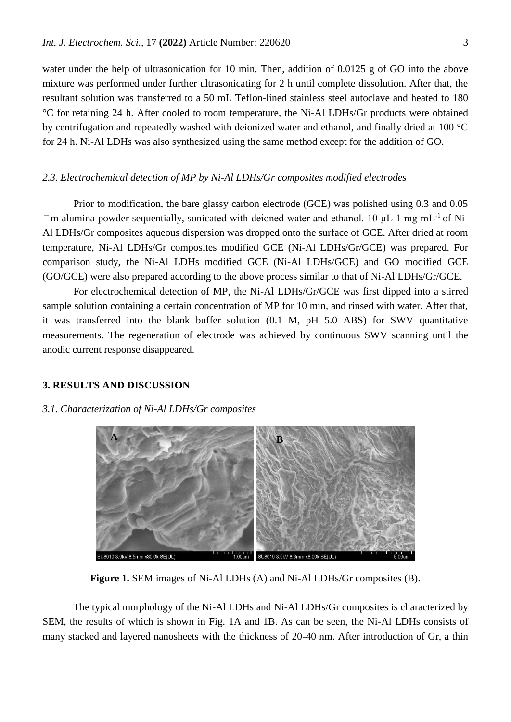water under the help of ultrasonication for 10 min. Then, addition of 0.0125 g of GO into the above mixture was performed under further ultrasonicating for 2 h until complete dissolution. After that, the resultant solution was transferred to a 50 mL Teflon-lined stainless steel autoclave and heated to 180 °C for retaining 24 h. After cooled to room temperature, the Ni-Al LDHs/Gr products were obtained by centrifugation and repeatedly washed with deionized water and ethanol, and finally dried at 100 °C for 24 h. Ni-Al LDHs was also synthesized using the same method except for the addition of GO.

# *2.3. Electrochemical detection of MP by Ni-Al LDHs/Gr composites modified electrodes*

Prior to modification, the bare glassy carbon electrode (GCE) was polished using 0.3 and 0.05  $\Box$ m alumina powder sequentially, sonicated with deioned water and ethanol. 10  $\mu$ L 1 mg mL<sup>-1</sup> of Ni-Al LDHs/Gr composites aqueous dispersion was dropped onto the surface of GCE. After dried at room temperature, Ni-Al LDHs/Gr composites modified GCE (Ni-Al LDHs/Gr/GCE) was prepared. For comparison study, the Ni-Al LDHs modified GCE (Ni-Al LDHs/GCE) and GO modified GCE (GO/GCE) were also prepared according to the above process similar to that of Ni-Al LDHs/Gr/GCE.

For electrochemical detection of MP, the Ni-Al LDHs/Gr/GCE was first dipped into a stirred sample solution containing a certain concentration of MP for 10 min, and rinsed with water. After that, it was transferred into the blank buffer solution (0.1 M, pH 5.0 ABS) for SWV quantitative measurements. The regeneration of electrode was achieved by continuous SWV scanning until the anodic current response disappeared.

# **3. RESULTS AND DISCUSSION**

#### *3.1. Characterization of Ni-Al LDHs/Gr composites*



**Figure 1.** SEM images of Ni-Al LDHs (A) and Ni-Al LDHs/Gr composites (B).

The typical morphology of the Ni-Al LDHs and Ni-Al LDHs/Gr composites is characterized by SEM, the results of which is shown in Fig. 1A and 1B. As can be seen, the Ni-Al LDHs consists of many stacked and layered nanosheets with the thickness of 20-40 nm. After introduction of Gr, a thin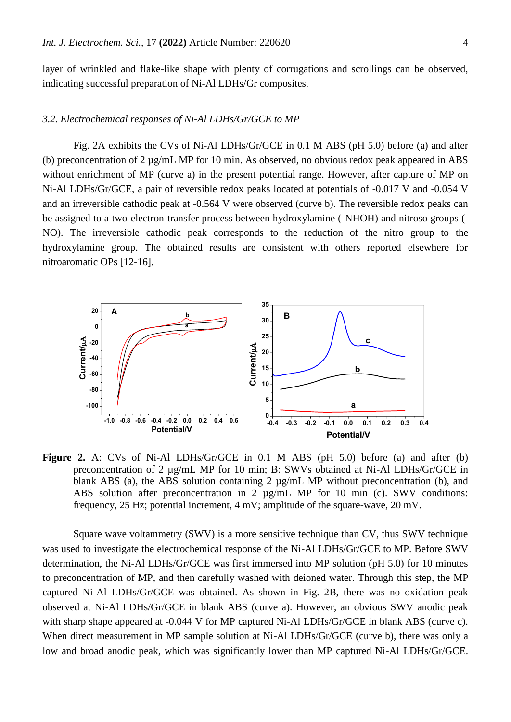layer of wrinkled and flake-like shape with plenty of corrugations and scrollings can be observed, indicating successful preparation of Ni-Al LDHs/Gr composites.

## *3.2. Electrochemical responses of Ni-Al LDHs/Gr/GCE to MP*

Fig. 2A exhibits the CVs of Ni-Al LDHs/Gr/GCE in 0.1 M ABS (pH 5.0) before (a) and after (b) preconcentration of 2 µg/mL MP for 10 min. As observed, no obvious redox peak appeared in ABS without enrichment of MP (curve a) in the present potential range. However, after capture of MP on Ni-Al LDHs/Gr/GCE, a pair of reversible redox peaks located at potentials of -0.017 V and -0.054 V and an irreversible cathodic peak at -0.564 V were observed (curve b). The reversible redox peaks can be assigned to a two-electron-transfer process between hydroxylamine (-NHOH) and nitroso groups (- NO). The irreversible cathodic peak corresponds to the reduction of the nitro group to the hydroxylamine group. The obtained results are consistent with others reported elsewhere for nitroaromatic OPs [12-16].



**Figure 2.** A: CVs of Ni-Al LDHs/Gr/GCE in 0.1 M ABS (pH 5.0) before (a) and after (b) preconcentration of 2 µg/mL MP for 10 min; B: SWVs obtained at Ni-Al LDHs/Gr/GCE in blank ABS (a), the ABS solution containing 2  $\mu$ g/mL MP without preconcentration (b), and ABS solution after preconcentration in 2  $\mu$ g/mL MP for 10 min (c). SWV conditions: frequency, 25 Hz; potential increment, 4 mV; amplitude of the square-wave, 20 mV.

Square wave voltammetry (SWV) is a more sensitive technique than CV, thus SWV technique was used to investigate the electrochemical response of the Ni-Al LDHs/Gr/GCE to MP. Before SWV determination, the Ni-Al LDHs/Gr/GCE was first immersed into MP solution (pH 5.0) for 10 minutes to preconcentration of MP, and then carefully washed with deioned water. Through this step, the MP captured Ni-Al LDHs/Gr/GCE was obtained. As shown in Fig. 2B, there was no oxidation peak observed at Ni-Al LDHs/Gr/GCE in blank ABS (curve a). However, an obvious SWV anodic peak with sharp shape appeared at -0.044 V for MP captured Ni-Al LDHs/Gr/GCE in blank ABS (curve c). When direct measurement in MP sample solution at Ni-Al LDHs/Gr/GCE (curve b), there was only a low and broad anodic peak, which was significantly lower than MP captured Ni-Al LDHs/Gr/GCE.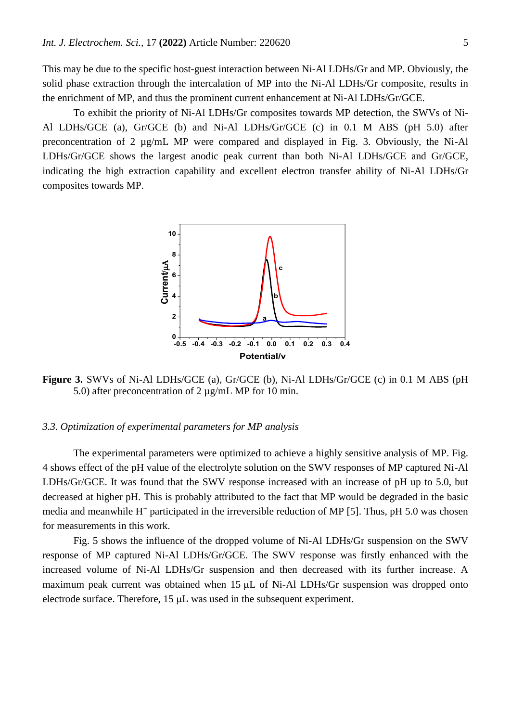This may be due to the specific host-guest interaction between Ni-Al LDHs/Gr and MP. Obviously, the solid phase extraction through the intercalation of MP into the Ni-Al LDHs/Gr composite, results in the enrichment of MP, and thus the prominent current enhancement at Ni-Al LDHs/Gr/GCE.

To exhibit the priority of Ni-Al LDHs/Gr composites towards MP detection, the SWVs of Ni-Al LDHs/GCE (a), Gr/GCE (b) and Ni-Al LDHs/Gr/GCE (c) in 0.1 M ABS (pH 5.0) after preconcentration of 2 µg/mL MP were compared and displayed in Fig. 3. Obviously, the Ni-Al LDHs/Gr/GCE shows the largest anodic peak current than both Ni-Al LDHs/GCE and Gr/GCE, indicating the high extraction capability and excellent electron transfer ability of Ni-Al LDHs/Gr composites towards MP.



**Figure 3.** SWVs of Ni-Al LDHs/GCE (a), Gr/GCE (b), Ni-Al LDHs/Gr/GCE (c) in 0.1 M ABS (pH 5.0) after preconcentration of 2 µg/mL MP for 10 min.

# *3.3. Optimization of experimental parameters for MP analysis*

The experimental parameters were optimized to achieve a highly sensitive analysis of MP. Fig. 4 shows effect of the pH value of the electrolyte solution on the SWV responses of MP captured Ni-Al LDHs/Gr/GCE. It was found that the SWV response increased with an increase of pH up to 5.0, but decreased at higher pH. This is probably attributed to the fact that MP would be degraded in the basic media and meanwhile H<sup>+</sup> participated in the irreversible reduction of MP [5]. Thus, pH 5.0 was chosen for measurements in this work.

Fig. 5 shows the influence of the dropped volume of Ni-Al LDHs/Gr suspension on the SWV response of MP captured Ni-Al LDHs/Gr/GCE. The SWV response was firstly enhanced with the increased volume of Ni-Al LDHs/Gr suspension and then decreased with its further increase. A maximum peak current was obtained when  $15 \mu L$  of Ni-Al LDHs/Gr suspension was dropped onto electrode surface. Therefore,  $15 \mu L$  was used in the subsequent experiment.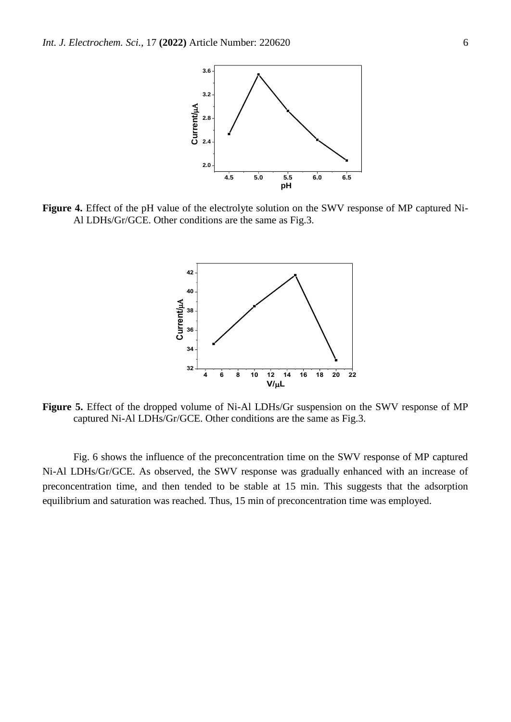

**Figure 4.** Effect of the pH value of the electrolyte solution on the SWV response of MP captured Ni-Al LDHs/Gr/GCE. Other conditions are the same as Fig.3.



**Figure 5.** Effect of the dropped volume of Ni-Al LDHs/Gr suspension on the SWV response of MP captured Ni-Al LDHs/Gr/GCE. Other conditions are the same as Fig.3.

Fig. 6 shows the influence of the preconcentration time on the SWV response of MP captured Ni-Al LDHs/Gr/GCE. As observed, the SWV response was gradually enhanced with an increase of preconcentration time, and then tended to be stable at 15 min. This suggests that the adsorption equilibrium and saturation was reached. Thus, 15 min of preconcentration time was employed.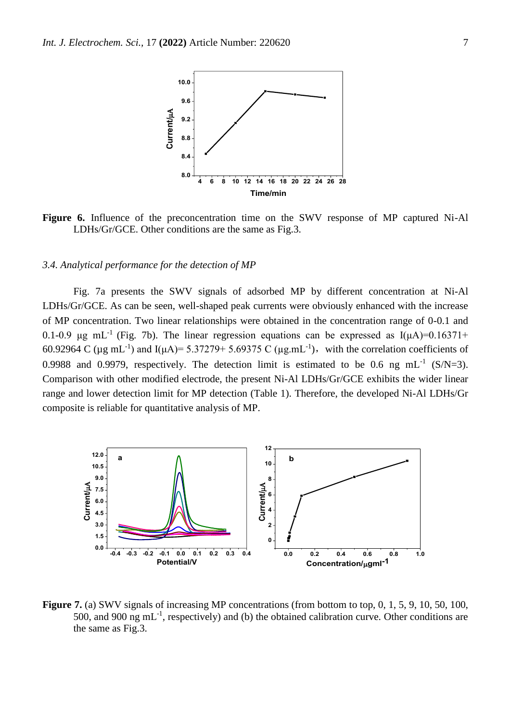

**Figure 6.** Influence of the preconcentration time on the SWV response of MP captured Ni-Al LDHs/Gr/GCE. Other conditions are the same as Fig.3.

#### *3.4. Analytical performance for the detection of MP*

Fig. 7a presents the SWV signals of adsorbed MP by different concentration at Ni-Al LDHs/Gr/GCE. As can be seen, well-shaped peak currents were obviously enhanced with the increase of MP concentration. Two linear relationships were obtained in the concentration range of 0-0.1 and 0.1-0.9 μg mL<sup>-1</sup> (Fig. 7b). The linear regression equations can be expressed as  $I(\mu A)=0.16371+$ 60.92964 C ( $\mu$ g mL<sup>-1</sup>) and I( $\mu$ A) = 5.37279+ 5.69375 C ( $\mu$ g.mL<sup>-1</sup>), with the correlation coefficients of 0.9988 and 0.9979, respectively. The detection limit is estimated to be 0.6 ng mL<sup>-1</sup> (S/N=3). Comparison with other modified electrode, the present Ni-Al LDHs/Gr/GCE exhibits the wider linear range and lower detection limit for MP detection (Table 1). Therefore, the developed Ni-Al LDHs/Gr composite is reliable for quantitative analysis of MP.



**Figure 7.** (a) SWV signals of increasing MP concentrations (from bottom to top, 0, 1, 5, 9, 10, 50, 100, 500, and 900 ng  $mL^{-1}$ , respectively) and (b) the obtained calibration curve. Other conditions are the same as Fig.3.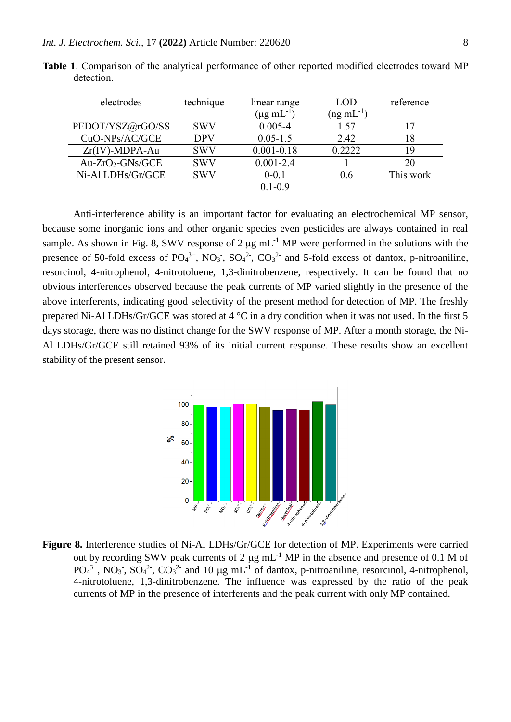| electrodes        | technique  | linear range         | <b>LOD</b>        | reference |
|-------------------|------------|----------------------|-------------------|-----------|
|                   |            | $(\mu g \, mL^{-1})$ | $($ ng m $L^{-1}$ |           |
| PEDOT/YSZ@rGO/SS  | <b>SWV</b> | $0.005 - 4$          | 1.57              | 17        |
| CuO-NPs/AC/GCE    | <b>DPV</b> | $0.05 - 1.5$         | 2.42              | 18        |
| $Zr(IV)$ -MDPA-Au | <b>SWV</b> | $0.001 - 0.18$       | 0.2222            | 19        |
| $Au-ZrO2-GNs/GCE$ | <b>SWV</b> | $0.001 - 2.4$        |                   | 20        |
| Ni-Al LDHs/Gr/GCE | <b>SWV</b> | $0 - 0.1$            | 0.6               | This work |
|                   |            | $0.1 - 0.9$          |                   |           |

**Table 1**. Comparison of the analytical performance of other reported modified electrodes toward MP detection.

Anti-interference ability is an important factor for evaluating an electrochemical MP sensor, because some inorganic ions and other organic species even pesticides are always contained in real sample. As shown in Fig. 8, SWV response of 2  $\mu$ g mL<sup>-1</sup> MP were performed in the solutions with the presence of 50-fold excess of  $PO_4^{3-}$ ,  $NO_3^-$ ,  $SO_4^{2-}$ ,  $CO_3^{2-}$  and 5-fold excess of dantox, p-nitroaniline, resorcinol, 4-nitrophenol, 4-nitrotoluene, 1,3-dinitrobenzene, respectively. It can be found that no obvious interferences observed because the peak currents of MP varied slightly in the presence of the above interferents, indicating good selectivity of the present method for detection of MP. The freshly prepared Ni-Al LDHs/Gr/GCE was stored at 4 °C in a dry condition when it was not used. In the first 5 days storage, there was no distinct change for the SWV response of MP. After a month storage, the Ni-Al LDHs/Gr/GCE still retained 93% of its initial current response. These results show an excellent stability of the present sensor.



**Figure 8.** Interference studies of Ni-Al LDHs/Gr/GCE for detection of MP. Experiments were carried out by recording SWV peak currents of 2  $\mu$ g mL<sup>-1</sup> MP in the absence and presence of 0.1 M of  $PO_4^{3-}$ , NO<sub>3</sub>, SO<sub>4</sub><sup>2</sup>, CO<sub>3</sub><sup>2</sup> and 10 µg mL<sup>-1</sup> of dantox, p-nitroaniline, resorcinol, 4-nitrophenol, 4-nitrotoluene, 1,3-dinitrobenzene. The influence was expressed by the ratio of the peak currents of MP in the presence of interferents and the peak current with only MP contained.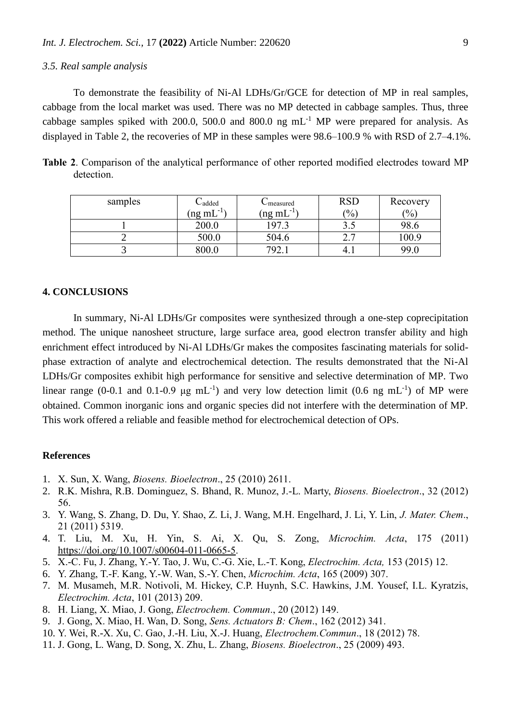# *3.5. Real sample analysis*

To demonstrate the feasibility of Ni-Al LDHs/Gr/GCE for detection of MP in real samples, cabbage from the local market was used. There was no MP detected in cabbage samples. Thus, three cabbage samples spiked with 200.0, 500.0 and 800.0 ng  $mL^{-1}$  MP were prepared for analysis. As displayed in Table 2, the recoveries of MP in these samples were 98.6–100.9 % with RSD of 2.7–4.1%.

**Table 2**. Comparison of the analytical performance of other reported modified electrodes toward MP detection.

| samples | $C$ added                      | Umeasured                     | <b>RSD</b> | Recovery |
|---------|--------------------------------|-------------------------------|------------|----------|
|         | $-1)$<br>(ng mL $\overline{ }$ | $-1$<br>(ng mL $\overline{ }$ | $^{(0)}$   | (9/0)    |
|         | 200.0                          | 197 <sup>o</sup>              | ں . ر      | 98.6     |
|         | 500.0                          | 504.6                         | ∠.         | 100.9    |
|         | 800.0                          | 702                           | 4.1        | 99.0     |

# **4. CONCLUSIONS**

In summary, Ni-Al LDHs/Gr composites were synthesized through a one-step coprecipitation method. The unique nanosheet structure, large surface area, good electron transfer ability and high enrichment effect introduced by Ni-Al LDHs/Gr makes the composites fascinating materials for solidphase extraction of analyte and electrochemical detection. The results demonstrated that the Ni-Al LDHs/Gr composites exhibit high performance for sensitive and selective determination of MP. Two linear range (0-0.1 and 0.1-0.9  $\mu$ g mL<sup>-1</sup>) and very low detection limit (0.6 ng mL<sup>-1</sup>) of MP were obtained. Common inorganic ions and organic species did not interfere with the determination of MP. This work offered a reliable and feasible method for electrochemical detection of OPs.

## **References**

- 1. X. Sun, X. Wang, *Biosens. Bioelectron*., 25 (2010) 2611.
- 2. R.K. Mishra, R.B. Dominguez, S. Bhand, R. Munoz, J.-L. Marty, *Biosens. Bioelectron*., 32 (2012) 56.
- 3. Y. Wang, S. Zhang, D. Du, Y. Shao, Z. Li, J. Wang, M.H. Engelhard, J. Li, Y. Lin, *J. Mater. Chem*., 21 (2011) 5319.
- 4. T. Liu, M. Xu, H. Yin, S. Ai, X. Qu, S. Zong, *Microchim. Acta*, 175 (2011) [https://doi.org/10.1007/s00604-011-0665-5.](https://doi.org/10.1007/s00604-011-0665-5)
- 5. X.-C. Fu, J. Zhang, Y.-Y. Tao, J. Wu, C.-G. Xie, L.-T. Kong, *Electrochim. Acta,* 153 (2015) 12.
- 6. Y. Zhang, T.-F. Kang, Y.-W. Wan, S.-Y. Chen, *Microchim. Acta*, 165 (2009) 307.
- 7. M. Musameh, M.R. Notivoli, M. Hickey, C.P. Huynh, S.C. Hawkins, J.M. Yousef, I.L. Kyratzis, *Electrochim. Acta*, 101 (2013) 209.
- 8. H. Liang, X. Miao, J. Gong, *Electrochem. Commun*., 20 (2012) 149.
- 9. J. Gong, X. Miao, H. Wan, D. Song, *Sens. Actuators B: Chem*., 162 (2012) 341.
- 10. Y. Wei, R.-X. Xu, C. Gao, J.-H. Liu, X.-J. Huang, *Electrochem.Commun*., 18 (2012) 78.
- 11. J. Gong, L. Wang, D. Song, X. Zhu, L. Zhang, *Biosens. Bioelectron*., 25 (2009) 493.